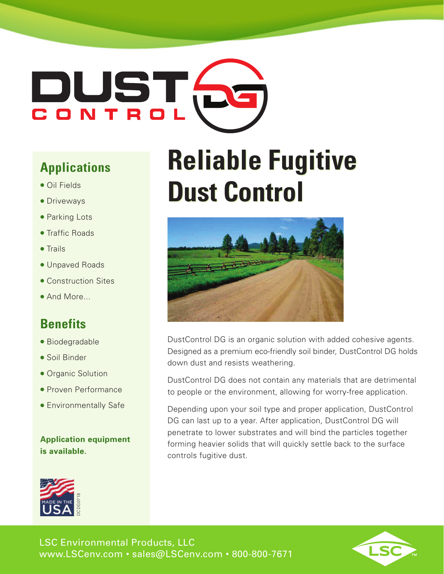# DUST<br>CONTRO

## **Applications**

- Oil Fields
- Driveways
- Parking Lots
- Traffic Roads
- Trails
- Unpaved Roads
- Construction Sites
- And More...

## **Benefits**

- Biodegradable
- Soil Binder
- Organic Solution
- Proven Performance
- Environmentally Safe

**Application equipment is available.**



## **Reliable Fugitive Dust Control**



DustControl DG is an organic solution with added cohesive agents. Designed as a premium eco-friendly soil binder, DustControl DG holds down dust and resists weathering.

DustControl DG does not contain any materials that are detrimental to people or the environment, allowing for worry-free application.

Depending upon your soil type and proper application, DustControl DG can last up to a year. After application, DustControl DG will penetrate to lower substrates and will bind the particles together forming heavier solids that will quickly settle back to the surface controls fugitive dust.